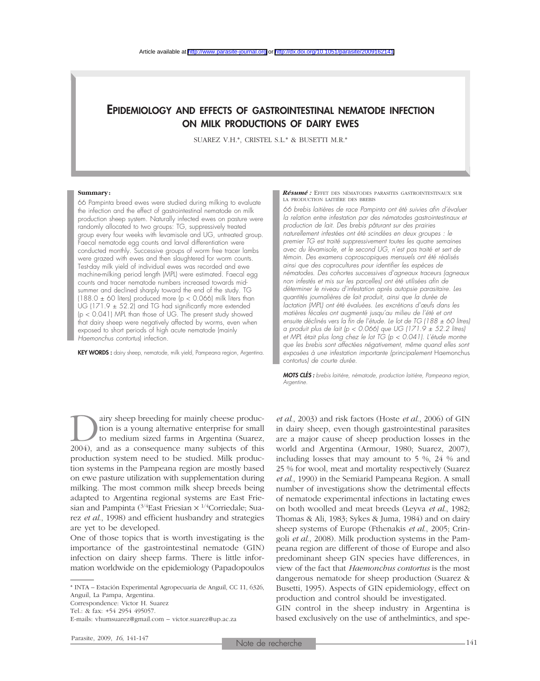# EPIDEMIOLOGY AND EFFECTS OF GASTROINTESTINAL NEMATODE INFECTION ON MILK PRODUCTIONS OF DAIRY EWES

SUAREZ V.H.\*, CRISTEL S.L.\* & BUSETTI M.R.\*

#### **Summary:**

66 Pampinta breed ewes were studied during milking to evaluate the infection and the effect of gastrointestinal nematode on milk production sheep system. Naturally infected ewes on pasture were randomly allocated to two groups: TG, suppressively treated group every four weeks with levamisole and UG, untreated group. Faecal nematode egg counts and larval differentiation were conducted monthly. Successive groups of worm free tracer lambs were grazed with ewes and then slaughtered for worm counts. Test-day milk yield of individual ewes was recorded and ewe machine-milking period length (MPL) were estimated. Faecal egg counts and tracer nematode numbers increased towards midsummer and declined sharply toward the end of the study. TG (188.0  $\pm$  60 liters) produced more (p < 0.066) milk liters than UG (171.9  $\pm$  52.2) and TG had significantly more extended (p < 0.041) MPL than those of UG. The present study showed that dairy sheep were negatively affected by worms, even when exposed to short periods of high acute nematode (mainly *Haemonchus contortus*) infection.

KEY WORDS : dairy sheep, nematode, milk yield, Pampeana region, Argentina.

*Résumé :* EFFET DES NÉMATODES PARASITES GASTROINTESTINAUX SUR LA PRODUCTION LAITIÈRE DES BREBIS

*66 brebis laitières de race Pampinta ont été suivies afin d'évaluer la relation entre infestation par des nématodes gastrointestinaux et production de lait. Des brebis pâturant sur des prairies naturellement infestées ont été scindées en deux groupes : le premier TG est traité suppressivement toutes les quatre semaines avec du lévamisole, et le second UG, n'est pas traité et sert de témoin. Des examens coproscopiques mensuels ont été réalisés ainsi que des coprocultures pour identifier les espèces de nématodes. Des cohortes successives d'agneaux traceurs (agneaux non infestés et mis sur les parcelles) ont été utilisées afin de déterminer le niveau d'infestation après autopsie parasitaire. Les quantités journalières de lait produit, ainsi que la durée de lactation (MPL) ont été évaluées. Les excrétions d'œufs dans les matières fécales ont augmenté jusqu'au milieu de l'été et ont ensuite déclinés vers la fin de l'étude. Le lot de TG (188 ± 60 litres) a produit plus de lait (p < 0.066) que UG (171.9 ± 52.2 litres) et MPL était plus long chez le lot TG (p < 0.041). L'étude montre que les brebis sont affectées négativement, même quand elles sont exposées à une infestation importante (principalement* Haemonchus contortus*) de courte durée.*

*MOTS CLÉS : brebis laitière, nématode, production laitière, Pampeana region, Argentine.*

**Dairy sheep breeding for mainly cheese production is a young alternative enterprise for small to medium sized farms in Argentina (Suarez, 2004), and as a consequence many subjects of this** tion is a young alternative enterprise for small to medium sized farms in Argentina (Suarez, 2004), and as a consequence many subjects of this production system need to be studied. Milk production systems in the Pampeana region are mostly based on ewe pasture utilization with supplementation during milking. The most common milk sheep breeds being adapted to Argentina regional systems are East Friesian and Pampinta  $(3/4)$ East Friesian  $\times$   $1/4$ Corriedale; Suarez *et al*., 1998) and efficient husbandry and strategies are yet to be developed.

One of those topics that is worth investigating is the importance of the gastrointestinal nematode (GIN) infection on dairy sheep farms. There is little information worldwide on the epidemiology (Papadopoulos

\* INTA – Estación Experimental Agropecuaria de Anguil, CC 11, 6326, Anguil, La Pampa, Argentina.

Correspondence: Victor H. Suarez

Tel.: & fax: +54 2954 495057.

E-mails: vhumsuarez@gmail.com – victor.suarez@up.ac.za

*et al*., 2003) and risk factors (Hoste *et al*., 2006) of GIN in dairy sheep, even though gastrointestinal parasites are a major cause of sheep production losses in the world and Argentina (Armour, 1980; Suarez, 2007), including losses that may amount to 5 %, 24 % and 25 % for wool, meat and mortality respectively (Suarez *et al*., 1990) in the Semiarid Pampeana Region. A small number of investigations show the detrimental effects of nematode experimental infections in lactating ewes on both woolled and meat breeds (Leyva *et al*., 1982; Thomas & Ali, 1983; Sykes & Juma, 1984) and on dairy sheep systems of Europe (Fthenakis *et al*., 2005; Cringoli *et al*., 2008). Milk production systems in the Pampeana region are different of those of Europe and also predominant sheep GIN species have differences, in view of the fact that *Haemonchus contortus* is the most dangerous nematode for sheep production (Suarez & Busetti, 1995). Aspects of GIN epidemiology, effect on production and control should be investigated.

GIN control in the sheep industry in Argentina is based exclusively on the use of anthelmintics, and spe-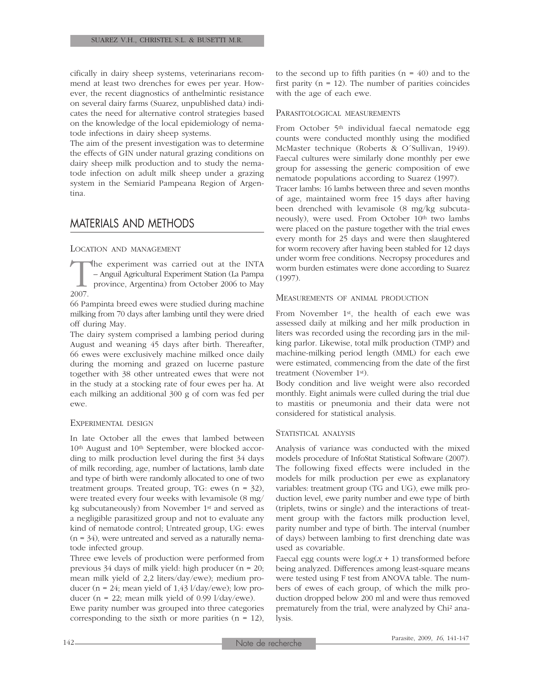cifically in dairy sheep systems, veterinarians recommend at least two drenches for ewes per year. However, the recent diagnostics of anthelmintic resistance on several dairy farms (Suarez, unpublished data) indicates the need for alternative control strategies based on the knowledge of the local epidemiology of nematode infections in dairy sheep systems.

The aim of the present investigation was to determine the effects of GIN under natural grazing conditions on dairy sheep milk production and to study the nematode infection on adult milk sheep under a grazing system in the Semiarid Pampeana Region of Argentina.

# MATERIALS AND METHODS

### LOCATION AND MANAGEMENT

The experiment was carried out at the INTA<br>- Anguil Agricultural Experiment Station (La Pampa<br>province, Argentina) from October 2006 to May<br>2007. – Anguil Agricultural Experiment Station (La Pampa province, Argentina) from October 2006 to May 2007.

66 Pampinta breed ewes were studied during machine milking from 70 days after lambing until they were dried off during May.

The dairy system comprised a lambing period during August and weaning 45 days after birth. Thereafter, 66 ewes were exclusively machine milked once daily during the morning and grazed on lucerne pasture together with 38 other untreated ewes that were not in the study at a stocking rate of four ewes per ha. At each milking an additional 300 g of corn was fed per ewe.

#### EXPERIMENTAL DESIGN

In late October all the ewes that lambed between 10<sup>th</sup> August and 10<sup>th</sup> September, were blocked according to milk production level during the first 34 days of milk recording, age, number of lactations, lamb date and type of birth were randomly allocated to one of two treatment groups. Treated group, TG: ewes (n = 32), were treated every four weeks with levamisole (8 mg/ kg subcutaneously) from November 1st and served as a negligible parasitized group and not to evaluate any kind of nematode control; Untreated group, UG: ewes  $(n = 34)$ , were untreated and served as a naturally nematode infected group.

Three ewe levels of production were performed from previous 34 days of milk yield: high producer (n = 20; mean milk yield of 2,2 liters/day/ewe); medium producer ( $n = 24$ ; mean yield of 1,43 l/day/ewe); low producer ( $n = 22$ ; mean milk yield of 0.99 l/day/ewe).

Ewe parity number was grouped into three categories corresponding to the sixth or more parities  $(n = 12)$ , to the second up to fifth parities  $(n = 40)$  and to the first parity ( $n = 12$ ). The number of parities coincides with the age of each ewe.

#### PARASITOLOGICAL MEASUREMENTS

From October 5<sup>th</sup> individual faecal nematode egg counts were conducted monthly using the modified McMaster technique (Roberts & O´Sullivan, 1949). Faecal cultures were similarly done monthly per ewe group for assessing the generic composition of ewe nematode populations according to Suarez (1997).

Tracer lambs: 16 lambs between three and seven months of age, maintained worm free 15 days after having been drenched with levamisole (8 mg/kg subcutaneously), were used. From October 10th two lambs were placed on the pasture together with the trial ewes every month for 25 days and were then slaughtered for worm recovery after having been stabled for 12 days under worm free conditions. Necropsy procedures and worm burden estimates were done according to Suarez (1997).

### MEASUREMENTS OF ANIMAL PRODUCTION

From November 1st, the health of each ewe was assessed daily at milking and her milk production in liters was recorded using the recording jars in the milking parlor. Likewise, total milk production (TMP) and machine-milking period length (MML) for each ewe were estimated, commencing from the date of the first treatment (November 1st).

Body condition and live weight were also recorded monthly. Eight animals were culled during the trial due to mastitis or pneumonia and their data were not considered for statistical analysis.

#### STATISTICAL ANALYSIS

Analysis of variance was conducted with the mixed models procedure of InfoStat Statistical Software (2007). The following fixed effects were included in the models for milk production per ewe as explanatory variables: treatment group (TG and UG), ewe milk production level, ewe parity number and ewe type of birth (triplets, twins or single) and the interactions of treatment group with the factors milk production level, parity number and type of birth. The interval (number of days) between lambing to first drenching date was used as covariable.

Faecal egg counts were  $log(x + 1)$  transformed before being analyzed. Differences among least-square means were tested using F test from ANOVA table. The numbers of ewes of each group, of which the milk production dropped below 200 ml and were thus removed prematurely from the trial, were analyzed by Chi2 analysis.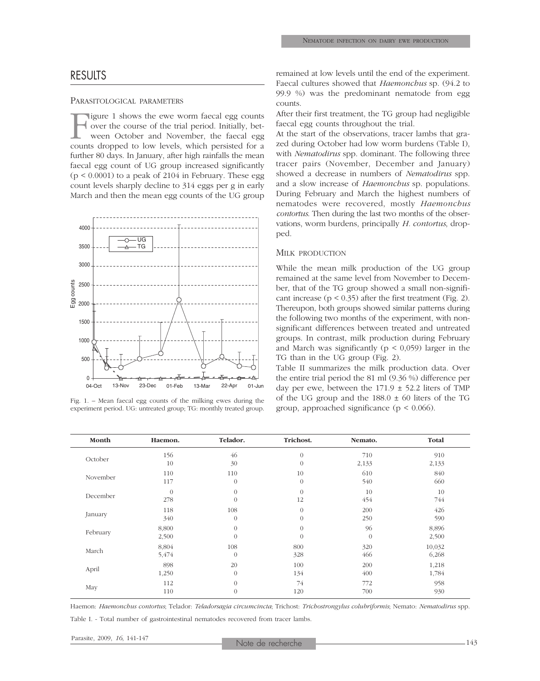## RESULTS

#### PARASITOLOGICAL PARAMETERS

Figure 1 shows the ewe worm faecal egg counts<br>over the course of the trial period. Initially, bet-<br>ween October and November, the faecal egg<br>counts dropped to low levels, which persisted for a over the course of the trial period. Initially, between October and November, the faecal egg counts dropped to low levels, which persisted for a further 80 days. In January, after high rainfalls the mean faecal egg count of UG group increased significantly  $(p < 0.0001)$  to a peak of 2104 in February. These egg count levels sharply decline to 314 eggs per g in early March and then the mean egg counts of the UG group



Fig. 1. – Mean faecal egg counts of the milking ewes during the experiment period. UG: untreated group; TG: monthly treated group.

remained at low levels until the end of the experiment. Faecal cultures showed that *Haemonchus* sp. (94.2 to 99.9 %) was the predominant nematode from egg counts.

After their first treatment, the TG group had negligible faecal egg counts throughout the trial.

At the start of the observations, tracer lambs that grazed during October had low worm burdens (Table I), with *Nematodirus* spp. dominant. The following three tracer pairs (November, December and January) showed a decrease in numbers of *Nematodirus* spp. and a slow increase of *Haemonchus* sp. populations. During February and March the highest numbers of nematodes were recovered, mostly *Haemonchus contortus*. Then during the last two months of the observations, worm burdens, principally *H. contortus*, dropped.

#### MILK PRODUCTION

While the mean milk production of the UG group remained at the same level from November to December, that of the TG group showed a small non-significant increase  $(p < 0.35)$  after the first treatment (Fig. 2). Thereupon, both groups showed similar patterns during the following two months of the experiment, with nonsignificant differences between treated and untreated groups. In contrast, milk production during February and March was significantly ( $p < 0.059$ ) larger in the TG than in the UG group (Fig. 2).

Table II summarizes the milk production data. Over the entire trial period the 81 ml (9.36 %) difference per day per ewe, between the  $171.9 \pm 52.2$  liters of TMP of the UG group and the  $188.0 \pm 60$  liters of the TG group, approached significance ( $p < 0.066$ ).

| Month    | Haemon.  | Telador.       | Trichost. | Nemato.  | Total  |
|----------|----------|----------------|-----------|----------|--------|
| October  | 156      | 46             | $\theta$  | 710      | 910    |
|          | 10       | 30             | $\theta$  | 2,133    | 2,133  |
| November | 110      | 110            | 10        | 610      | 840    |
|          | 117      | $\overline{0}$ | $\theta$  | 540      | 660    |
| December | $\theta$ | $\overline{0}$ | $\theta$  | 10       | 10     |
|          | 278      | $\overline{0}$ | 12        | 454      | 744    |
| January  | 118      | 108            | $\theta$  | 200      | 426    |
|          | 340      | $\overline{0}$ | $\Omega$  | 250      | 590    |
| February | 8,800    | $\theta$       | $\theta$  | 96       | 8,896  |
|          | 2,500    | $\Omega$       | $\Omega$  | $\theta$ | 2,500  |
| March    | 8,804    | 108            | 800       | 320      | 10,032 |
|          | 5,474    | $\overline{0}$ | 328       | 466      | 6,268  |
| April    | 898      | 20             | 100       | 200      | 1,218  |
|          | 1,250    | $\overline{0}$ | 134       | 400      | 1,784  |
| May      | 112      | $\overline{0}$ | 74        | 772      | 958    |
|          | 110      | $\Omega$       | 120       | 700      | 930    |

Haemon: *Haemonchus contortus*; Telador: *Teladorsagia circumcincta*; Trichost: *Trichostrongylus colubriformis*; Nemato: *Nematodirus* spp. Table I. - Total number of gastrointestinal nematodes recovered from tracer lambs.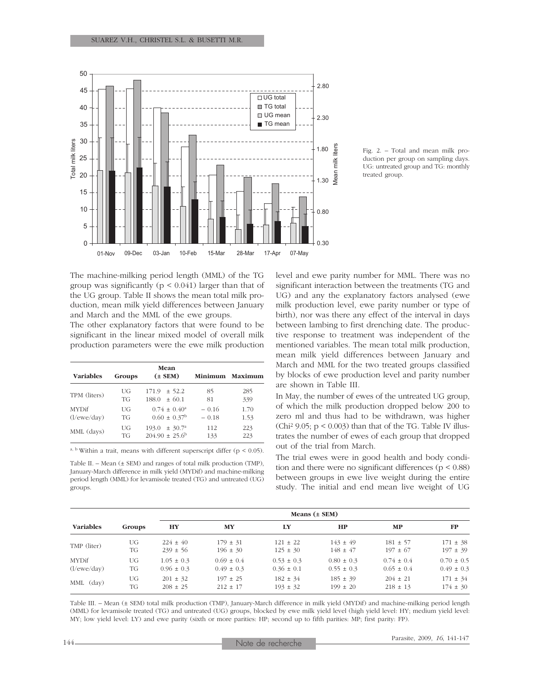

Fig. 2. – Total and mean milk production per group on sampling days. UG: untreated group and TG: monthly treated group.

The machine-milking period length (MML) of the TG group was significantly ( $p < 0.041$ ) larger than that of the UG group. Table II shows the mean total milk production, mean milk yield differences between January and March and the MML of the ewe groups.

The other explanatory factors that were found to be significant in the linear mixed model of overall milk production parameters were the ewe milk production

| <b>Variables</b>            | Groups          | Mean<br>$(\pm$ SEM)                                      |                    | Minimum Maximum |
|-----------------------------|-----------------|----------------------------------------------------------|--------------------|-----------------|
| TPM (liters)                | UG<br>TG        | $171.9 \pm 52.2$<br>$\pm$ 60.1<br>188.0                  | 85<br>81           | 285<br>339      |
| <b>MYDif</b><br>(l/ewe/day) | UG<br>TG        | $0.74 \pm 0.40^{\circ}$<br>$0.60 \pm 0.37^{\rm b}$       | $-0.16$<br>$-0.18$ | 1.70<br>1.53    |
| MML (days)                  | UG<br><b>TG</b> | $\pm 30.7^{\circ}$<br>193.0<br>$204.90 \pm 25.6^{\circ}$ | 112<br>133         | 223<br>223      |

<sup>a, b</sup> Within a trait, means with different superscript differ ( $p < 0.05$ ).

Table II. – Mean (± SEM) and ranges of total milk production (TMP), January-March difference in milk yield (MYDif) and machine-milking period length (MML) for levamisole treated (TG) and untreated (UG) groups.

level and ewe parity number for MML. There was no significant interaction between the treatments (TG and UG) and any the explanatory factors analysed (ewe milk production level, ewe parity number or type of birth), nor was there any effect of the interval in days between lambing to first drenching date. The productive response to treatment was independent of the mentioned variables. The mean total milk production, mean milk yield differences between January and March and MML for the two treated groups classified by blocks of ewe production level and parity number are shown in Table III.

In May, the number of ewes of the untreated UG group, of which the milk production dropped below 200 to zero ml and thus had to be withdrawn, was higher (Chi<sup>2</sup> 9.05;  $p < 0.003$ ) than that of the TG. Table IV illustrates the number of ewes of each group that dropped out of the trial from March.

The trial ewes were in good health and body condition and there were no significant differences ( $p < 0.88$ ) between groups in ewe live weight during the entire study. The initial and end mean live weight of UG

| <b>Variables</b> |        | Means $(\pm$ SEM) |                |                |                |                |                |
|------------------|--------|-------------------|----------------|----------------|----------------|----------------|----------------|
|                  | Groups | HY                | MY             | I.Y            | <b>HP</b>      | <b>MP</b>      | <b>FP</b>      |
| TMP (liter)      | UG     | $224 \pm 40$      | $179 \pm 31$   | $121 \pm 22$   | $143 \pm 49$   | $181 \pm 57$   | $171 \pm 38$   |
|                  | TG     | $239 \pm 56$      | $196 \pm 30$   | $125 \pm 30$   | $148 \pm 47$   | $197 \pm 67$   | $197 \pm 39$   |
| <b>MYDif</b>     | UG     | $1.05 \pm 0.3$    | $0.69 \pm 0.4$ | $0.53 \pm 0.3$ | $0.80 \pm 0.3$ | $0.74 \pm 0.4$ | $0.70 \pm 0.5$ |
| (l/ewe/day)      | TG     | $0.96 \pm 0.3$    | $0.49 \pm 0.3$ | $0.36 \pm 0.1$ | $0.55 \pm 0.3$ | $0.65 \pm 0.4$ | $0.49 \pm 0.3$ |
| MML (day)        | UG     | $201 \pm 32$      | $197 \pm 25$   | $182 \pm 34$   | $185 \pm 39$   | $204 \pm 21$   | $171 \pm 34$   |
|                  | TG     | $208 \pm 25$      | $212 \pm 17$   | $193 \pm 32$   | $199 \pm 20$   | $218 \pm 13$   | $174 \pm 30$   |

Table III. – Mean (± SEM) total milk production (TMP), January-March difference in milk yield (MYDif) and machine-milking period length (MML) for levamisole treated (TG) and untreated (UG) groups, blocked by ewe milk yield level (high yield level: HY; medium yield level: MY; low yield level: LY) and ewe parity (sixth or more parities: HP; second up to fifth parities: MP; first parity: FP).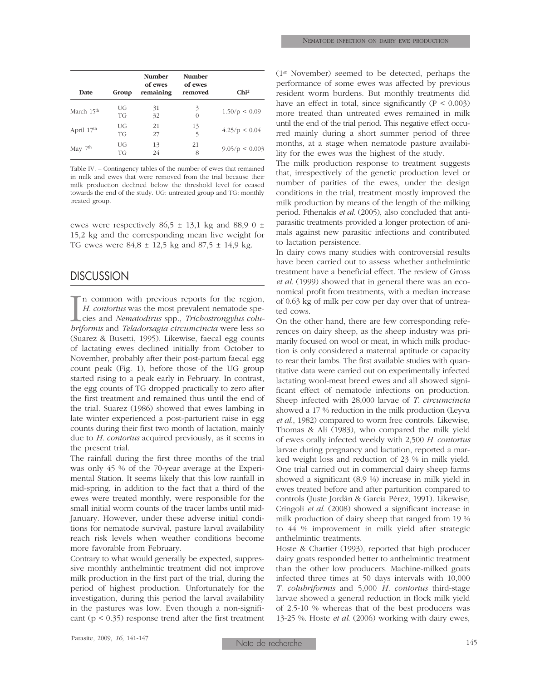| <b>Date</b>            | Group    | <b>Number</b><br>of ewes<br>remaining | <b>Number</b><br>of ewes<br>removed | Chi <sup>2</sup>   |
|------------------------|----------|---------------------------------------|-------------------------------------|--------------------|
| March 15 <sup>th</sup> | UG<br>TG | 31<br>32                              | 3                                   | 1.50/p < 0.09      |
| April 17 <sup>th</sup> | UG<br>TG | 21<br>27                              | 13<br>5                             | 4.25/p < 0.04      |
| May 7 <sup>th</sup>    | UG<br>TG | 13<br>24                              | 21<br>8                             | $9.05/p \le 0.003$ |

Table IV. – Contingency tables of the number of ewes that remained in milk and ewes that were removed from the trial because their milk production declined below the threshold level for ceased towards the end of the study. UG: untreated group and TG: monthly treated group.

ewes were respectively  $86.5 \pm 13.1$  kg and  $88.9$  0  $\pm$ 15,2 kg and the corresponding mean live weight for TG ewes were  $84.8 \pm 12.5$  kg and  $87.5 \pm 14.9$  kg.

# **DISCUSSION**

 $\prod_{bri}$ In common with previous reports for the region, *H. contortus* was the most prevalent nematode species and *Nematodirus* spp., *Trichostrongylus colubriformis* and *Teladorsagia circumcincta* were less so (Suarez & Busetti, 1995). Likewise, faecal egg counts of lactating ewes declined initially from October to November, probably after their post-partum faecal egg count peak (Fig. 1), before those of the UG group started rising to a peak early in February. In contrast, the egg counts of TG dropped practically to zero after the first treatment and remained thus until the end of the trial. Suarez (1986) showed that ewes lambing in late winter experienced a post-parturient raise in egg counts during their first two month of lactation, mainly due to *H. contortus* acquired previously, as it seems in the present trial.

The rainfall during the first three months of the trial was only 45 % of the 70-year average at the Experimental Station. It seems likely that this low rainfall in mid-spring, in addition to the fact that a third of the ewes were treated monthly, were responsible for the small initial worm counts of the tracer lambs until mid-January. However, under these adverse initial conditions for nematode survival, pasture larval availability reach risk levels when weather conditions become more favorable from February.

Contrary to what would generally be expected, suppressive monthly anthelmintic treatment did not improve milk production in the first part of the trial, during the period of highest production. Unfortunately for the investigation, during this period the larval availability in the pastures was low. Even though a non-significant ( $p < 0.35$ ) response trend after the first treatment (1st November) seemed to be detected, perhaps the performance of some ewes was affected by previous resident worm burdens. But monthly treatments did have an effect in total, since significantly  $(P < 0.003)$ more treated than untreated ewes remained in milk until the end of the trial period. This negative effect occurred mainly during a short summer period of three months, at a stage when nematode pasture availability for the ewes was the highest of the study.

The milk production response to treatment suggests that, irrespectively of the genetic production level or number of parities of the ewes, under the design conditions in the trial, treatment mostly improved the milk production by means of the length of the milking period. Fthenakis *et al*. (2005), also concluded that antiparasitic treatments provided a longer protection of animals against new parasitic infections and contributed to lactation persistence.

In dairy cows many studies with controversial results have been carried out to assess whether anthelmintic treatment have a beneficial effect. The review of Gross *et al*. (1999) showed that in general there was an economical profit from treatments, with a median increase of 0.63 kg of milk per cow per day over that of untreated cows.

On the other hand, there are few corresponding references on dairy sheep, as the sheep industry was primarily focused on wool or meat, in which milk production is only considered a maternal aptitude or capacity to rear their lambs. The first available studies with quantitative data were carried out on experimentally infected lactating wool-meat breed ewes and all showed significant effect of nematode infections on production. Sheep infected with 28,000 larvae of *T. circumcincta* showed a 17 % reduction in the milk production (Leyva *et al*., 1982) compared to worm free controls. Likewise, Thomas & Ali (1983), who compared the milk yield of ewes orally infected weekly with 2,500 *H. contortus* larvae during pregnancy and lactation, reported a marked weight loss and reduction of 23 % in milk yield. One trial carried out in commercial dairy sheep farms showed a significant (8.9 %) increase in milk yield in ewes treated before and after parturition compared to controls (Juste Jordán & García Pérez, 1991). Likewise, Cringoli *et al*. (2008) showed a significant increase in milk production of dairy sheep that ranged from 19 % to 44 % improvement in milk yield after strategic anthelmintic treatments.

Hoste & Chartier (1993), reported that high producer dairy goats responded better to anthelmintic treatment than the other low producers. Machine-milked goats infected three times at 50 days intervals with 10,000 *T. colubriformis* and 5,000 *H. contortus* third-stage larvae showed a general reduction in flock milk yield of 2.5-10 % whereas that of the best producers was 13-25 %. Hoste *et al*. (2006) working with dairy ewes,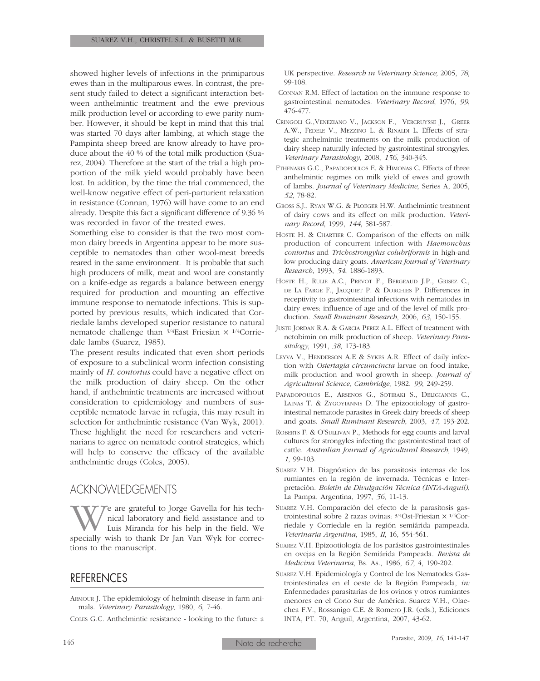showed higher levels of infections in the primiparous ewes than in the multiparous ewes. In contrast, the present study failed to detect a significant interaction between anthelmintic treatment and the ewe previous milk production level or according to ewe parity number. However, it should be kept in mind that this trial was started 70 days after lambing, at which stage the Pampinta sheep breed are know already to have produce about the 40 % of the total milk production (Suarez, 2004). Therefore at the start of the trial a high proportion of the milk yield would probably have been lost. In addition, by the time the trial commenced, the well-know negative effect of peri-parturient relaxation in resistance (Connan, 1976) will have come to an end already. Despite this fact a significant difference of 9.36 % was recorded in favor of the treated ewes.

Something else to consider is that the two most common dairy breeds in Argentina appear to be more susceptible to nematodes than other wool-meat breeds reared in the same environment. It is probable that such high producers of milk, meat and wool are constantly on a knife-edge as regards a balance between energy required for production and mounting an effective immune response to nematode infections. This is supported by previous results, which indicated that Corriedale lambs developed superior resistance to natural nematode challenge than  $3/4$ East Friesian  $\times$   $1/4$ Corriedale lambs (Suarez, 1985).

The present results indicated that even short periods of exposure to a subclinical worm infection consisting mainly of *H. contortus* could have a negative effect on the milk production of dairy sheep. On the other hand, if anthelmintic treatments are increased without consideration to epidemiology and numbers of susceptible nematode larvae in refugia, this may result in selection for anthelmintic resistance (Van Wyk, 2001). These highlight the need for researchers and veterinarians to agree on nematode control strategies, which will help to conserve the efficacy of the available anthelmintic drugs (Coles, 2005).

## ACKNOWLEDGEMENTS

We are grateful to Jorge Gavella for his tech-<br>nical laboratory and field assistance and to<br>specially wish to thank Dr Jan Van Wyk for correcnical laboratory and field assistance and to Luis Miranda for his help in the field. We tions to the manuscript.

# REFERENCES

ARMOUR J. The epidemiology of helminth disease in farm animals. *Veterinary Parasitology*, 1980, *6*, 7-46.

COLES G.C. Anthelmintic resistance - looking to the future: a

UK perspective. *Research in Veterinary Science*, 2005, *78*, 99-108.

- CONNAN R.M. Effect of lactation on the immune response to gastrointestinal nematodes. *Veterinary Record*, 1976, *99*, 476-477.
- CRINGOLI G.,VENEZIANO V., JACKSON F., VERCRUYSSE J., GREER A.W., FEDELE V., MEZZINO L. & RINALDI L. Effects of strategic anthelmintic treatments on the milk production of dairy sheep naturally infected by gastrointestinal strongyles. *Veterinary Parasitology*, 2008, *156*, 340-345.
- FTHENAKIS G.C., PAPADOPOULOS E. & HIMONAS C. Effects of three anthelmintic regimes on milk yield of ewes and growth of lambs. *Journal of Veterinary Medicine*, Series A, 2005, *52*, 78-82.
- GROSS S.J., RYAN W.G. & PLOEGER H.W. Anthelmintic treatment of dairy cows and its effect on milk production. *Veterinary Record*, 1999, *144*, 581-587.
- HOSTE H. & CHARTIER C. Comparison of the effects on milk production of concurrent infection with *Haemonchus contortus* and *Trichostrongylus colubriformis* in high-and low producing dairy goats. *American Journal of Veterinary Research*, 1993, *54*, 1886-1893.
- HOSTE H., RULIE A.C., PREVOT F., BERGEAUD J.P., GRISEZ C., DE LA FARGE F., JACQUIET P. & DORCHIES P. Differences in receptivity to gastrointestinal infections with nematodes in dairy ewes: influence of age and of the level of milk production. *Small Ruminant Research*, 2006, *63*, 150-155.
- JUSTE JORDAN R.A. & GARCIA PEREZ A.L. Effect of treatment with netobimin on milk production of sheep. *Veterinary Parasitology*, 1991, *38*, 173-183.
- LEYVA V., HENDERSON A.E & SYKES A.R. Effect of daily infection with *Ostertagia circumcincta* larvae on food intake, milk production and wool growth in sheep. *Journal of Agricultural Science, Cambridge*, 1982, *99*, 249-259.
- PAPADOPOULOS E., ARSENOS G., SOTIRAKI S., DELIGIANNIS C., LAINAS T. & ZYGOYIANNIS D. The epizootiology of gastrointestinal nematode parasites in Greek dairy breeds of sheep and goats. *Small Ruminant Research*, 2003, *47*, 193-202.
- ROBERTS F. & O'SULLIVAN P., Methods for egg counts and larval cultures for strongyles infecting the gastrointestinal tract of cattle. *Australian Journal of Agricultural Research*, 1949, *1*, 99-103.
- SUAREZ V.H. Diagnóstico de las parasitosis internas de los rumiantes en la región de invernada. Técnicas e Interpretación. *Boletín de Divulgación Técnica (INTA-Anguil)*, La Pampa, Argentina, 1997, *56*, 11-13.
- SUAREZ V.H. Comparación del efecto de la parasitosis gastrointestinal sobre 2 razas ovinas: 3/4Ost-Friesian × 1/4Corriedale y Corriedale en la región semiárida pampeada. *Veterinaria Argentina*, 1985, *II*, 16, 554-561.
- SUAREZ V.H. Epizootiología de los parásitos gastrointestinales en ovejas en la Región Semiárida Pampeada. *Revista de Medicina Veterinaria*, Bs. As., 1986, *67*, 4, 190-202.
- SUAREZ V.H. Epidemiología y Control de los Nematodes Gastrointestinales en el oeste de la Región Pampeada, *in:* Enfermedades parasitarias de los ovinos y otros rumiantes menores en el Cono Sur de América. Suarez V.H., Olaechea F.V., Rossanigo C.E. & Romero J.R. (eds.), Ediciones INTA, PT. 70, Anguil, Argentina, 2007, 43-62.